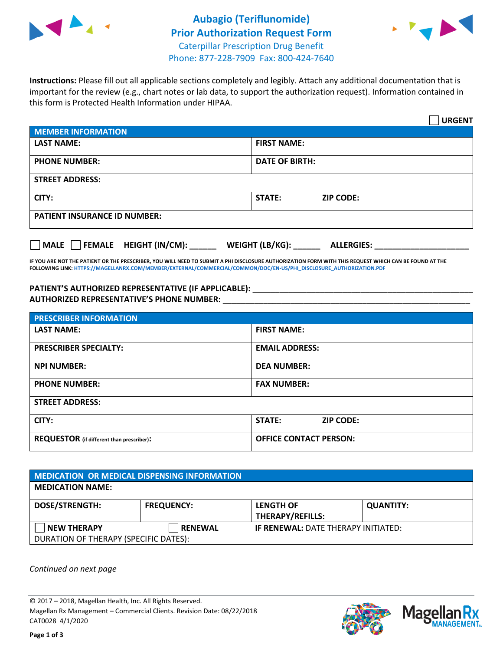



**Instructions:** Please fill out all applicable sections completely and legibly. Attach any additional documentation that is important for the review (e.g., chart notes or lab data, to support the authorization request). Information contained in this form is Protected Health Information under HIPAA.

|                                     |                                        | <b>URGENT</b> |  |  |
|-------------------------------------|----------------------------------------|---------------|--|--|
| <b>MEMBER INFORMATION</b>           |                                        |               |  |  |
| <b>LAST NAME:</b>                   | <b>FIRST NAME:</b>                     |               |  |  |
| <b>PHONE NUMBER:</b>                | <b>DATE OF BIRTH:</b>                  |               |  |  |
| <b>STREET ADDRESS:</b>              |                                        |               |  |  |
| CITY:                               | <b>ZIP CODE:</b><br>STATE:             |               |  |  |
| <b>PATIENT INSURANCE ID NUMBER:</b> |                                        |               |  |  |
| FEMALE HEIGHT (IN/CM):<br>  MALE    | WEIGHT (LB/KG): _<br><b>ALLERGIES:</b> |               |  |  |

**IF YOU ARE NOT THE PATIENT OR THE PRESCRIBER, YOU WILL NEED TO SUBMIT A PHI DISCLOSURE AUTHORIZATION FORM WITH THIS REQUEST WHICH CAN BE FOUND AT THE FOLLOWING LINK[: HTTPS://MAGELLANRX.COM/MEMBER/EXTERNAL/COMMERCIAL/COMMON/DOC/EN-US/PHI\\_DISCLOSURE\\_AUTHORIZATION.PDF](https://magellanrx.com/member/external/commercial/common/doc/en-us/PHI_Disclosure_Authorization.pdf)**

PATIENT'S AUTHORIZED REPRESENTATIVE (IF APPLICABLE): \_\_\_\_\_\_\_\_\_\_\_\_\_\_\_\_\_\_\_\_\_\_\_\_\_\_\_ **AUTHORIZED REPRESENTATIVE'S PHONE NUMBER:** \_\_\_\_\_\_\_\_\_\_\_\_\_\_\_\_\_\_\_\_\_\_\_\_\_\_\_\_\_\_\_\_\_\_\_\_\_\_\_\_\_\_\_\_\_\_\_\_\_\_\_\_\_\_\_

| <b>PRESCRIBER INFORMATION</b>             |                                   |  |  |  |
|-------------------------------------------|-----------------------------------|--|--|--|
| <b>LAST NAME:</b>                         | <b>FIRST NAME:</b>                |  |  |  |
| <b>PRESCRIBER SPECIALTY:</b>              | <b>EMAIL ADDRESS:</b>             |  |  |  |
| <b>NPI NUMBER:</b>                        | <b>DEA NUMBER:</b>                |  |  |  |
| <b>PHONE NUMBER:</b>                      | <b>FAX NUMBER:</b>                |  |  |  |
| <b>STREET ADDRESS:</b>                    |                                   |  |  |  |
| CITY:                                     | <b>STATE:</b><br><b>ZIP CODE:</b> |  |  |  |
| REQUESTOR (if different than prescriber): | <b>OFFICE CONTACT PERSON:</b>     |  |  |  |

| <b>MEDICATION OR MEDICAL DISPENSING INFORMATION</b> |                   |                                            |                  |  |  |
|-----------------------------------------------------|-------------------|--------------------------------------------|------------------|--|--|
| <b>MEDICATION NAME:</b>                             |                   |                                            |                  |  |  |
| <b>DOSE/STRENGTH:</b>                               | <b>FREQUENCY:</b> | <b>LENGTH OF</b>                           | <b>QUANTITY:</b> |  |  |
|                                                     |                   | <b>THERAPY/REFILLS:</b>                    |                  |  |  |
| <b>NEW THERAPY</b>                                  | <b>RENEWAL</b>    | <b>IF RENEWAL: DATE THERAPY INITIATED:</b> |                  |  |  |
| DURATION OF THERAPY (SPECIFIC DATES):               |                   |                                            |                  |  |  |

*Continued on next page*

© 2017 – 2018, Magellan Health, Inc. All Rights Reserved. Magellan Rx Management – Commercial Clients. Revision Date: 08/22/2018 CAT0028 4/1/2020



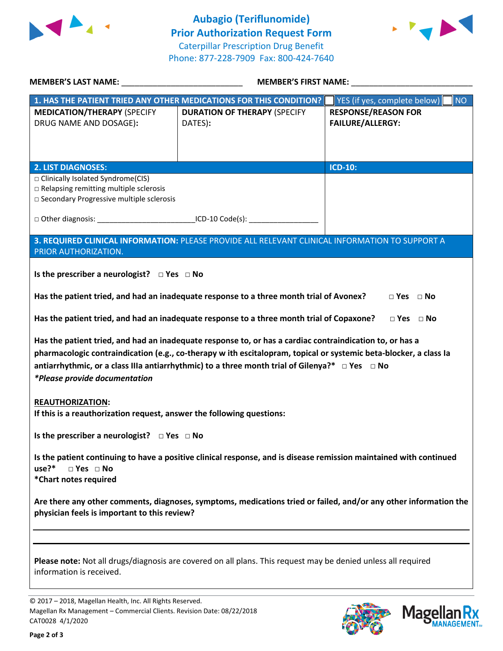



| MEMBER'S LAST NAME: NAME:                                                                                                                                                                                                                                                                                                                                        | MEMBER'S FIRST NAME: NAME:                                                                      |                                           |  |  |  |
|------------------------------------------------------------------------------------------------------------------------------------------------------------------------------------------------------------------------------------------------------------------------------------------------------------------------------------------------------------------|-------------------------------------------------------------------------------------------------|-------------------------------------------|--|--|--|
|                                                                                                                                                                                                                                                                                                                                                                  | 1. HAS THE PATIENT TRIED ANY OTHER MEDICATIONS FOR THIS CONDITION?                              | YES (if yes, complete below)<br><b>NO</b> |  |  |  |
| <b>MEDICATION/THERAPY (SPECIFY</b>                                                                                                                                                                                                                                                                                                                               | <b>DURATION OF THERAPY (SPECIFY</b>                                                             | <b>RESPONSE/REASON FOR</b>                |  |  |  |
| DRUG NAME AND DOSAGE):                                                                                                                                                                                                                                                                                                                                           | DATES):                                                                                         | <b>FAILURE/ALLERGY:</b>                   |  |  |  |
|                                                                                                                                                                                                                                                                                                                                                                  |                                                                                                 |                                           |  |  |  |
|                                                                                                                                                                                                                                                                                                                                                                  |                                                                                                 |                                           |  |  |  |
|                                                                                                                                                                                                                                                                                                                                                                  |                                                                                                 |                                           |  |  |  |
| <b>2. LIST DIAGNOSES:</b>                                                                                                                                                                                                                                                                                                                                        |                                                                                                 | <b>ICD-10:</b>                            |  |  |  |
| □ Clinically Isolated Syndrome(CIS)                                                                                                                                                                                                                                                                                                                              |                                                                                                 |                                           |  |  |  |
| $\Box$ Relapsing remitting multiple sclerosis                                                                                                                                                                                                                                                                                                                    |                                                                                                 |                                           |  |  |  |
| □ Secondary Progressive multiple sclerosis                                                                                                                                                                                                                                                                                                                       |                                                                                                 |                                           |  |  |  |
|                                                                                                                                                                                                                                                                                                                                                                  |                                                                                                 |                                           |  |  |  |
|                                                                                                                                                                                                                                                                                                                                                                  |                                                                                                 |                                           |  |  |  |
|                                                                                                                                                                                                                                                                                                                                                                  | 3. REQUIRED CLINICAL INFORMATION: PLEASE PROVIDE ALL RELEVANT CLINICAL INFORMATION TO SUPPORT A |                                           |  |  |  |
| PRIOR AUTHORIZATION.                                                                                                                                                                                                                                                                                                                                             |                                                                                                 |                                           |  |  |  |
|                                                                                                                                                                                                                                                                                                                                                                  |                                                                                                 |                                           |  |  |  |
| Is the prescriber a neurologist? $\Box$ Yes $\Box$ No                                                                                                                                                                                                                                                                                                            |                                                                                                 |                                           |  |  |  |
|                                                                                                                                                                                                                                                                                                                                                                  | Has the patient tried, and had an inadequate response to a three month trial of Avonex?         | $\Box$ Yes $\Box$ No                      |  |  |  |
|                                                                                                                                                                                                                                                                                                                                                                  |                                                                                                 |                                           |  |  |  |
|                                                                                                                                                                                                                                                                                                                                                                  | Has the patient tried, and had an inadequate response to a three month trial of Copaxone?       | $\Box$ Yes $\Box$ No                      |  |  |  |
| Has the patient tried, and had an inadequate response to, or has a cardiac contraindication to, or has a<br>pharmacologic contraindication (e.g., co-therapy w ith escitalopram, topical or systemic beta-blocker, a class la<br>antiarrhythmic, or a class IIIa antiarrhythmic) to a three month trial of Gilenya?* □ Yes □ No<br>*Please provide documentation |                                                                                                 |                                           |  |  |  |
| <b>REAUTHORIZATION:</b>                                                                                                                                                                                                                                                                                                                                          |                                                                                                 |                                           |  |  |  |
| If this is a reauthorization request, answer the following questions:                                                                                                                                                                                                                                                                                            |                                                                                                 |                                           |  |  |  |
| Is the prescriber a neurologist? $\Box$ Yes $\Box$ No                                                                                                                                                                                                                                                                                                            |                                                                                                 |                                           |  |  |  |
| Is the patient continuing to have a positive clinical response, and is disease remission maintained with continued<br>use?*<br>$\square$ Yes $\square$ No<br>*Chart notes required                                                                                                                                                                               |                                                                                                 |                                           |  |  |  |
| Are there any other comments, diagnoses, symptoms, medications tried or failed, and/or any other information the<br>physician feels is important to this review?                                                                                                                                                                                                 |                                                                                                 |                                           |  |  |  |
|                                                                                                                                                                                                                                                                                                                                                                  |                                                                                                 |                                           |  |  |  |
| Please note: Not all drugs/diagnosis are covered on all plans. This request may be denied unless all required<br>information is received.                                                                                                                                                                                                                        |                                                                                                 |                                           |  |  |  |